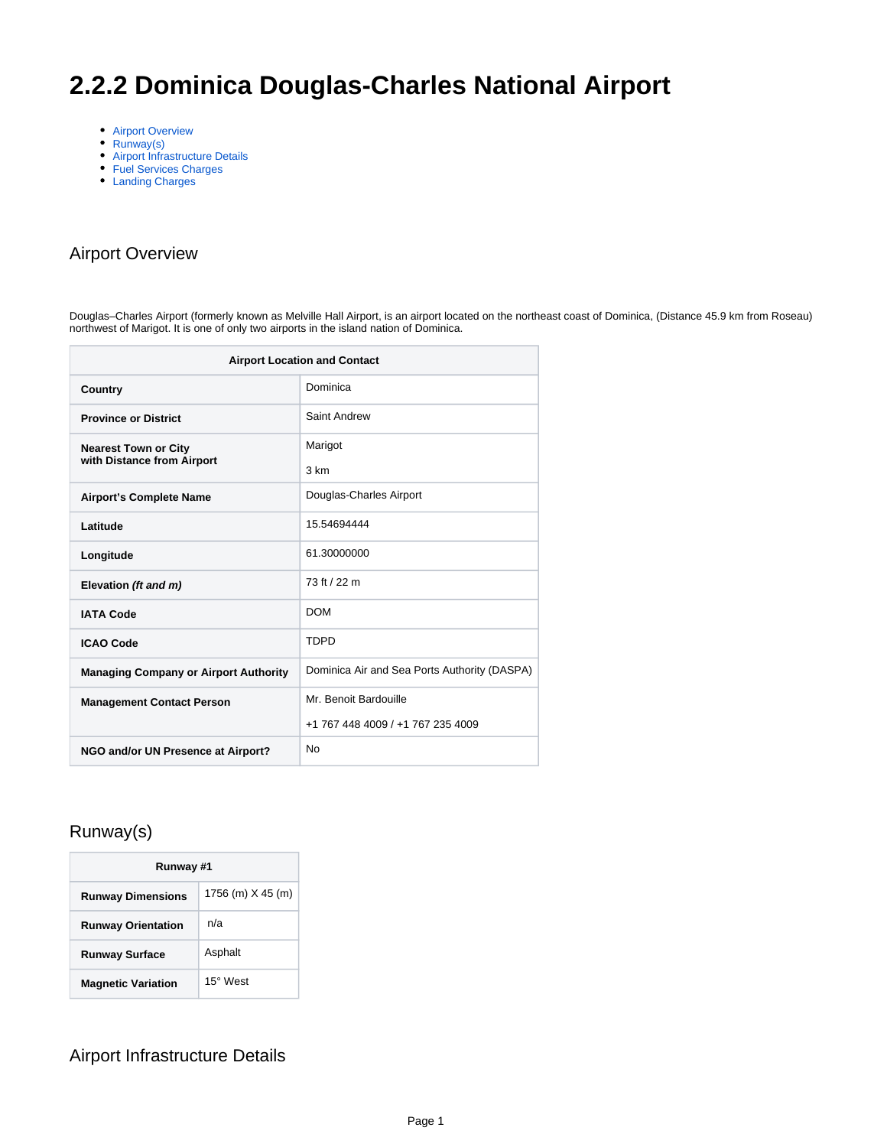# **2.2.2 Dominica Douglas-Charles National Airport**

- [Airport Overview](#page-0-0)
- [Runway\(s\)](#page-0-1)
- [Airport Infrastructure Details](#page-0-2)
- [Fuel Services Charges](#page-1-0)
- [Landing Charges](#page-1-1)

### <span id="page-0-0"></span>Airport Overview

Douglas–Charles Airport (formerly known as Melville Hall Airport, is an airport located on the northeast coast of Dominica, (Distance 45.9 km from Roseau) northwest of Marigot. It is one of only two airports in the island nation of Dominica.

| <b>Airport Location and Contact</b>                       |                                              |  |
|-----------------------------------------------------------|----------------------------------------------|--|
| Country                                                   | Dominica                                     |  |
| <b>Province or District</b>                               | Saint Andrew                                 |  |
| <b>Nearest Town or City</b><br>with Distance from Airport | Marigot                                      |  |
|                                                           | 3 km                                         |  |
| <b>Airport's Complete Name</b>                            | Douglas-Charles Airport                      |  |
| Latitude                                                  | 15.54694444                                  |  |
| Longitude                                                 | 61.30000000                                  |  |
| Elevation (ft and m)                                      | 73 ft / 22 m                                 |  |
| <b>IATA Code</b>                                          | <b>DOM</b>                                   |  |
| <b>ICAO Code</b>                                          | <b>TDPD</b>                                  |  |
| <b>Managing Company or Airport Authority</b>              | Dominica Air and Sea Ports Authority (DASPA) |  |
| <b>Management Contact Person</b>                          | Mr. Benoit Bardouille                        |  |
|                                                           | +1 767 448 4009 / +1 767 235 4009            |  |
| NGO and/or UN Presence at Airport?                        | <b>No</b>                                    |  |

#### <span id="page-0-1"></span>Runway(s)

| Runway #1                 |                   |  |
|---------------------------|-------------------|--|
| <b>Runway Dimensions</b>  | 1756 (m) X 45 (m) |  |
| <b>Runway Orientation</b> | n/a               |  |
| <b>Runway Surface</b>     | Asphalt           |  |
| <b>Magnetic Variation</b> | 15° West          |  |

#### <span id="page-0-2"></span>Airport Infrastructure Details